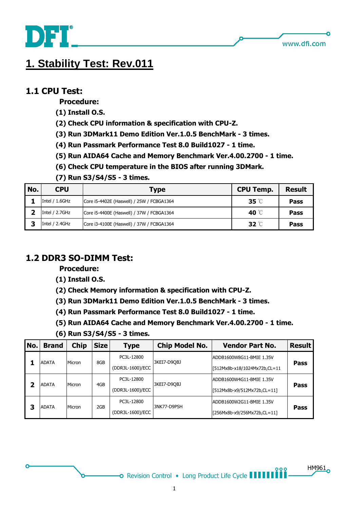

HM961

# **1. Stability Test: Rev.011**

#### **1.1 CPU Test:**

 **Procedure:**

- **(1) Install O.S.**
- **(2) Check CPU information & specification with CPU-Z.**
- **(3) Run 3DMark11 Demo Edition Ver.1.0.5 BenchMark - 3 times.**
- **(4) Run Passmark Performance Test 8.0 Build1027 - 1 time.**
- **(5) Run AIDA64 Cache and Memory Benchmark Ver.4.00.2700 - 1 time.**
- **(6) Check CPU temperature in the BIOS after running 3DMark.**
- **(7) Run S3/S4/S5 - 3 times.**

| No. | <b>CPU</b>        | Type                                      | <b>CPU Temp.</b>   | <b>Result</b> |
|-----|-------------------|-------------------------------------------|--------------------|---------------|
|     | Intel / 1.6GHz    | Core i5-4402E (Haswell) / 25W / FCBGA1364 | $35^\circ\text{C}$ | Pass          |
|     | Intel / 2.7GHz    | Core i5-4400E (Haswell) / 37W / FCBGA1364 | 40 °C              | Pass          |
| 3   | Intel $/ 2.4$ GHz | Core i3-4100E (Haswell) / 37W / FCBGA1364 | 32 $\degree$ C     | Pass          |

## **1.2 DDR3 SO-DIMM Test:**

#### **Procedure:**

**(1) Install O.S.**

- **(2) Check Memory information & specification with CPU-Z.**
- **(3) Run 3DMark11 Demo Edition Ver.1.0.5 BenchMark - 3 times.**
- **(4) Run Passmark Performance Test 8.0 Build1027 - 1 time.**
- **(5) Run AIDA64 Cache and Memory Benchmark Ver.4.00.2700 - 1 time.**
- **(6) Run S3/S4/S5 - 3 times.**

| No. | <b>Brand</b> | <b>Chip</b> | <b>Size</b> | <b>Type</b>      | <b>Chip Model No.</b>         | <b>Vendor Part No.</b>       | <b>Result</b> |
|-----|--------------|-------------|-------------|------------------|-------------------------------|------------------------------|---------------|
|     | <b>ADATA</b> | Micron      | 8GB         | PC3L-12800       | 3KEI7-D9OBJ                   | ADDB1600W8G11-BMIE 1.35V     | <b>Pass</b>   |
|     |              |             |             | (DDR3L-1600)/ECC |                               | [512Mx8b-x18/1024Mx72b,CL=11 |               |
| י   | <b>ADATA</b> | Micron      | 4GB         | PC3L-12800       | 3KEI7-D9OBJ                   |                              | <b>Pass</b>   |
|     |              |             |             | (DDR3L-1600)/ECC | [512Mx8b-x9/512Mx72b,CL=11]   |                              |               |
| 3   | <b>ADATA</b> | Micron      | 2GB         | PC3L-12800       | 3NK77-D9PSH                   |                              |               |
|     |              |             |             | (DDR3L-1600)/ECC | $[256Mx8b-x9/256Mx72b,CL=11]$ | <b>Pass</b>                  |               |

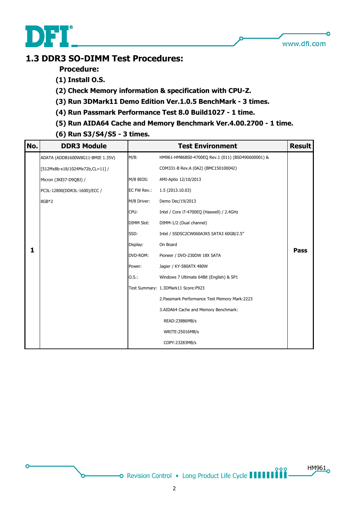

n

 $HM961$ 

## **1.3 DDR3 SO-DIMM Test Procedures:**

 **Procedure:**

- **(1) Install O.S.**
- **(2) Check Memory information & specification with CPU-Z.**
- **(3) Run 3DMark11 Demo Edition Ver.1.0.5 BenchMark - 3 times.**
- **(4) Run Passmark Performance Test 8.0 Build1027 - 1 time.**
- **(5) Run AIDA64 Cache and Memory Benchmark Ver.4.00.2700 - 1 time.**
- **(6) Run S3/S4/S5 - 3 times.**

| No. | <b>DDR3 Module</b>               |                   | <b>Test Environment</b>                           | <b>Result</b> |
|-----|----------------------------------|-------------------|---------------------------------------------------|---------------|
|     | ADATA (ADDB1600W8G11-BMIE 1.35V) | $M/B$ :           | HM961-HM86BS0-4700EQ Rev.1 (011) (BSD490600001) & |               |
|     | [512Mx8b-x18/1024Mx72b,CL=11] /  |                   | COM331-B Rev.A (0A2) (BMC150100042)               |               |
|     | Micron (3KEI7-D9QBJ) /           | M/B BIOS:         | AMI-Aptio 12/10/2013                              |               |
|     | PC3L-12800(DDR3L-1600)/ECC /     | EC FW Rev.:       | 1.5 (2013.10.03)                                  |               |
|     | 8GB*2                            | M/B Driver:       | Demo Dec/19/2013                                  |               |
|     |                                  | CPU:              | Intel / Core i7-4700EQ (Haswell) / 2.4GHz         |               |
|     |                                  | <b>DIMM Slot:</b> | DIMM-1/2 (Dual channel)                           |               |
|     |                                  | SSD:              | Intel / SSDSC2CW060A3K5 SATA3 60GB/2.5"           |               |
|     |                                  | Display:          | On Board                                          |               |
| 1   |                                  | DVD-ROM:          | Pioneer / DVD-230DW 18X SATA                      | <b>Pass</b>   |
|     |                                  | Power:            | Jagier / KY-580ATX 480W                           |               |
|     |                                  | 0.5.:             | Windows 7 Ultimate 64Bit (English) & SP1          |               |
|     |                                  |                   | Test Summary: 1.3DMark11 Score:P923               |               |
|     |                                  |                   | 2. Passmark Performance Test Memory Mark: 2223    |               |
|     |                                  |                   | 3.AIDA64 Cache and Memory Benchmark:              |               |
|     |                                  |                   | READ: 23886MB/s                                   |               |
|     |                                  |                   | WRITE:25016MB/s                                   |               |
|     |                                  |                   | COPY:23283MB/s                                    |               |